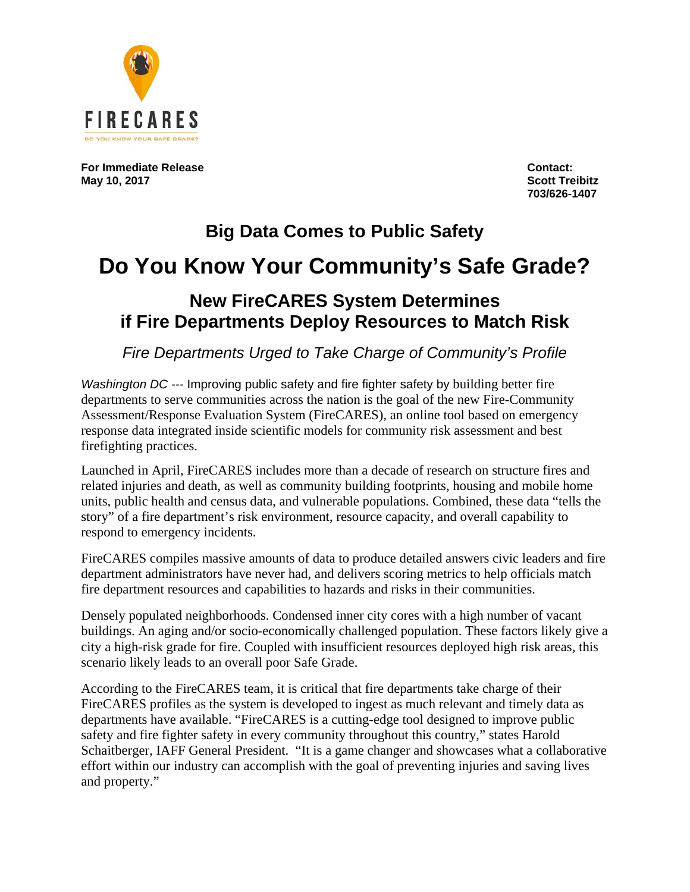

**For Immediate Release Contact: May 10, 2017** 

**703/626-1407**

## **Big Data Comes to Public Safety Do You Know Your Community's Safe Grade? New FireCARES System Determines if Fire Departments Deploy Resources to Match Risk**

*Fire Departments Urged to Take Charge of Community's Profile*

*Washington DC ---* Improving public safety and fire fighter safety by building better fire departments to serve communities across the nation is the goal of the new Fire-Community Assessment/Response Evaluation System (FireCARES), an online tool based on emergency response data integrated inside scientific models for community risk assessment and best firefighting practices.

Launched in April, FireCARES includes more than a decade of research on structure fires and related injuries and death, as well as community building footprints, housing and mobile home units, public health and census data, and vulnerable populations. Combined, these data "tells the story" of a fire department's risk environment, resource capacity, and overall capability to respond to emergency incidents.

FireCARES compiles massive amounts of data to produce detailed answers civic leaders and fire department administrators have never had, and delivers scoring metrics to help officials match fire department resources and capabilities to hazards and risks in their communities.

Densely populated neighborhoods. Condensed inner city cores with a high number of vacant buildings. An aging and/or socio-economically challenged population. These factors likely give a city a high-risk grade for fire. Coupled with insufficient resources deployed high risk areas, this scenario likely leads to an overall poor Safe Grade.

According to the FireCARES team, it is critical that fire departments take charge of their FireCARES profiles as the system is developed to ingest as much relevant and timely data as departments have available. "FireCARES is a cutting-edge tool designed to improve public safety and fire fighter safety in every community throughout this country," states Harold Schaitberger, IAFF General President. "It is a game changer and showcases what a collaborative effort within our industry can accomplish with the goal of preventing injuries and saving lives and property."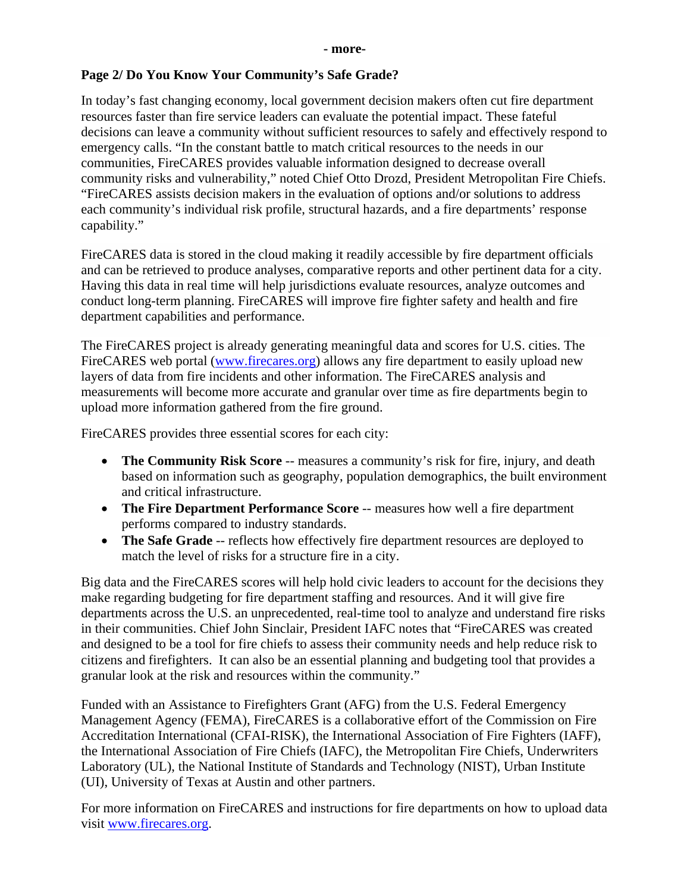#### **Page 2/ Do You Know Your Community's Safe Grade?**

In today's fast changing economy, local government decision makers often cut fire department resources faster than fire service leaders can evaluate the potential impact. These fateful decisions can leave a community without sufficient resources to safely and effectively respond to emergency calls. "In the constant battle to match critical resources to the needs in our communities, FireCARES provides valuable information designed to decrease overall community risks and vulnerability," noted Chief Otto Drozd, President Metropolitan Fire Chiefs. "FireCARES assists decision makers in the evaluation of options and/or solutions to address each community's individual risk profile, structural hazards, and a fire departments' response capability."

FireCARES data is stored in the cloud making it readily accessible by fire department officials and can be retrieved to produce analyses, comparative reports and other pertinent data for a city. Having this data in real time will help jurisdictions evaluate resources, analyze outcomes and conduct long-term planning. FireCARES will improve fire fighter safety and health and fire department capabilities and performance.

The FireCARES project is already generating meaningful data and scores for U.S. cities. The FireCARES web portal [\(www.firecares.org\)](http://www.firecares.org/) allows any fire department to easily upload new layers of data from fire incidents and other information. The FireCARES analysis and measurements will become more accurate and granular over time as fire departments begin to upload more information gathered from the fire ground.

FireCARES provides three essential scores for each city:

- **The Community Risk Score** -- measures a community's risk for fire, injury, and death based on information such as geography, population demographics, the built environment and critical infrastructure.
- **The Fire Department Performance Score** -- measures how well a fire department performs compared to industry standards.
- **The Safe Grade** -- reflects how effectively fire department resources are deployed to match the level of risks for a structure fire in a city.

Big data and the FireCARES scores will help hold civic leaders to account for the decisions they make regarding budgeting for fire department staffing and resources. And it will give fire departments across the U.S. an unprecedented, real-time tool to analyze and understand fire risks in their communities. Chief John Sinclair, President IAFC notes that "FireCARES was created and designed to be a tool for fire chiefs to assess their community needs and help reduce risk to citizens and firefighters. It can also be an essential planning and budgeting tool that provides a granular look at the risk and resources within the community."

Funded with an Assistance to Firefighters Grant (AFG) from the U.S. Federal Emergency Management Agency (FEMA), FireCARES is a collaborative effort of the Commission on Fire Accreditation International (CFAI-RISK), the International Association of Fire Fighters (IAFF), the International Association of Fire Chiefs (IAFC), the Metropolitan Fire Chiefs, Underwriters Laboratory (UL), the National Institute of Standards and Technology (NIST), Urban Institute (UI), University of Texas at Austin and other partners.

For more information on FireCARES and instructions for fire departments on how to upload data visit [www.firecares.org.](http://www.firecares.org/)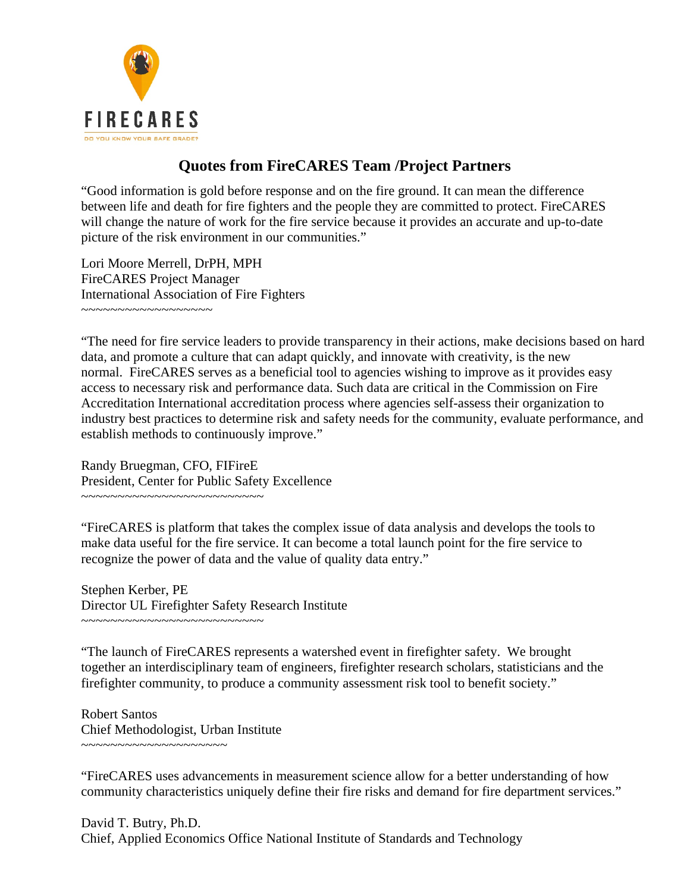

#### **Quotes from FireCARES Team /Project Partners**

"Good information is gold before response and on the fire ground. It can mean the difference between life and death for fire fighters and the people they are committed to protect. FireCARES will change the nature of work for the fire service because it provides an accurate and up-to-date picture of the risk environment in our communities."

Lori Moore Merrell, DrPH, MPH FireCARES Project Manager International Association of Fire Fighters ~~~~~~~~~~~~~~~~~~

"The need for fire service leaders to provide transparency in their actions, make decisions based on hard data, and promote a culture that can adapt quickly, and innovate with creativity, is the new normal. FireCARES serves as a beneficial tool to agencies wishing to improve as it provides easy access to necessary risk and performance data. Such data are critical in the Commission on Fire Accreditation International accreditation process where agencies self-assess their organization to industry best practices to determine risk and safety needs for the community, evaluate performance, and establish methods to continuously improve."

Randy Bruegman, CFO, FIFireE President, Center for Public Safety Excellence ~~~~~~~~~~~~~~~~~~~~~~~~~~~~~

"FireCARES is platform that takes the complex issue of data analysis and develops the tools to make data useful for the fire service. It can become a total launch point for the fire service to recognize the power of data and the value of quality data entry."

Stephen Kerber, PE Director UL Firefighter Safety Research Institute ~~~~~~~~~~~~~~~~~~~~~~~~~

"The launch of FireCARES represents a watershed event in firefighter safety. We brought together an interdisciplinary team of engineers, firefighter research scholars, statisticians and the firefighter community, to produce a community assessment risk tool to benefit society."

Robert Santos Chief Methodologist, Urban Institute ~~~~~~~~~~~~~~~~~~~~

"FireCARES uses advancements in measurement science allow for a better understanding of how community characteristics uniquely define their fire risks and demand for fire department services."

David T. Butry, Ph.D. Chief, Applied Economics Office National Institute of Standards and Technology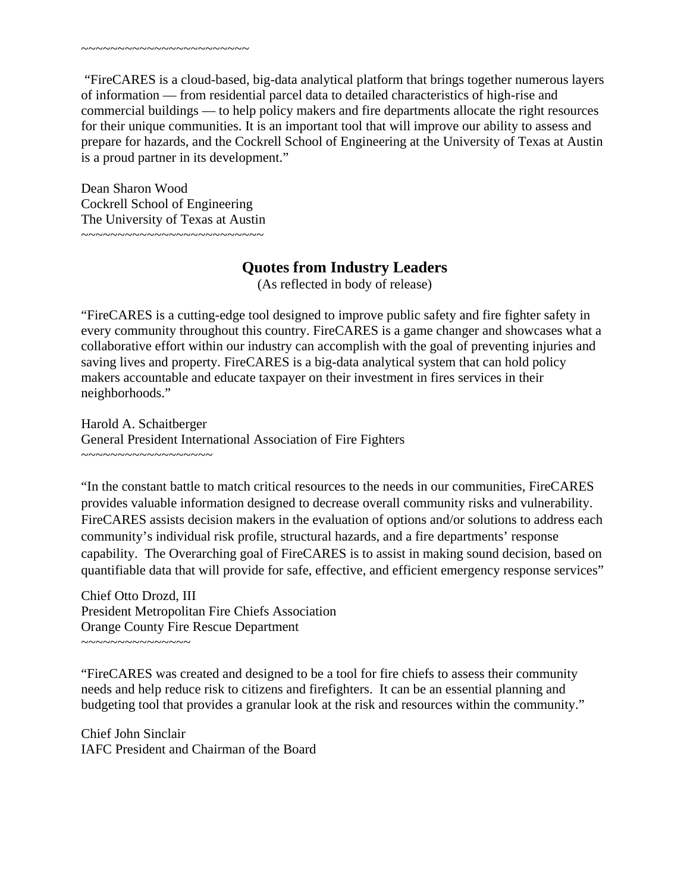"FireCARES is a cloud-based, big-data analytical platform that brings together numerous layers of information — from residential parcel data to detailed characteristics of high-rise and commercial buildings — to help policy makers and fire departments allocate the right resources for their unique communities. It is an important tool that will improve our ability to assess and prepare for hazards, and the Cockrell School of Engineering at the University of Texas at Austin is a proud partner in its development."

Dean Sharon Wood Cockrell School of Engineering The University of Texas at Austin ~~~~~~~~~~~~~~~~~~~~~~~~~

~~~~~~~~~~~~~~~~~~~~~~~

#### **Quotes from Industry Leaders**

(As reflected in body of release)

"FireCARES is a cutting-edge tool designed to improve public safety and fire fighter safety in every community throughout this country. FireCARES is a game changer and showcases what a collaborative effort within our industry can accomplish with the goal of preventing injuries and saving lives and property. FireCARES is a big-data analytical system that can hold policy makers accountable and educate taxpayer on their investment in fires services in their neighborhoods."

Harold A. Schaitberger General President International Association of Fire Fighters ~~~~~~~~~~~~~~~~~~

"In the constant battle to match critical resources to the needs in our communities, FireCARES provides valuable information designed to decrease overall community risks and vulnerability. FireCARES assists decision makers in the evaluation of options and/or solutions to address each community's individual risk profile, structural hazards, and a fire departments' response capability. The Overarching goal of FireCARES is to assist in making sound decision, based on quantifiable data that will provide for safe, effective, and efficient emergency response services"

Chief Otto Drozd, III President Metropolitan Fire Chiefs Association Orange County Fire Rescue Department ~~~~~~~~~~~~~~~

"FireCARES was created and designed to be a tool for fire chiefs to assess their community needs and help reduce risk to citizens and firefighters. It can be an essential planning and budgeting tool that provides a granular look at the risk and resources within the community."

Chief John Sinclair IAFC President and Chairman of the Board